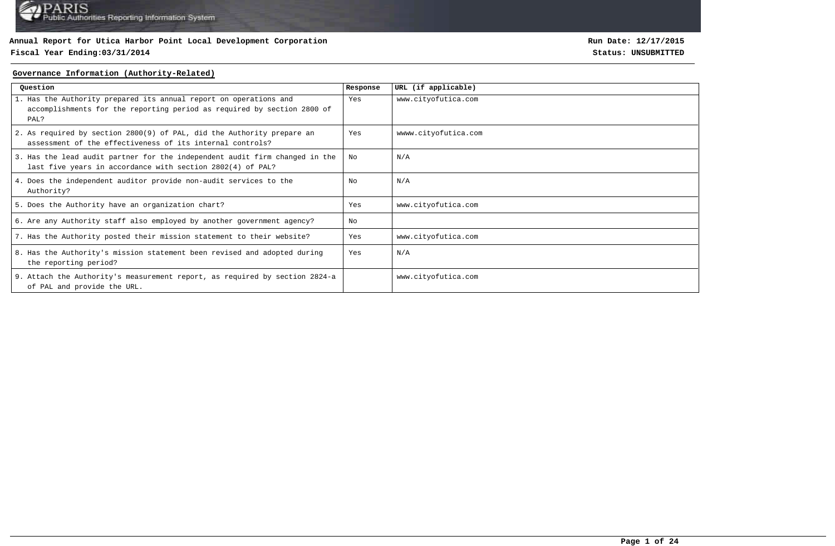### **Fiscal Year Ending:03/31/2014 Status: UNSUBMITTED**

**Run Date: 12/17/2015**

#### **Governance Information (Authority-Related)**

| Question                                                                                                                                             | Response | URL (if applicable)  |
|------------------------------------------------------------------------------------------------------------------------------------------------------|----------|----------------------|
| 1. Has the Authority prepared its annual report on operations and<br>accomplishments for the reporting period as required by section 2800 of<br>PAL? | Yes      | www.cityofutica.com  |
| 2. As required by section 2800(9) of PAL, did the Authority prepare an<br>assessment of the effectiveness of its internal controls?                  | Yes      | wwww.cityofutica.com |
| 3. Has the lead audit partner for the independent audit firm changed in the<br>last five years in accordance with section 2802(4) of PAL?            | No       | N/A                  |
| 4. Does the independent auditor provide non-audit services to the<br>Authority?                                                                      | Nο       | N/A                  |
| 5. Does the Authority have an organization chart?                                                                                                    | Yes      | www.cityofutica.com  |
| 6. Are any Authority staff also employed by another government agency?                                                                               | No       |                      |
| 7. Has the Authority posted their mission statement to their website?                                                                                | Yes      | www.cityofutica.com  |
| 8. Has the Authority's mission statement been revised and adopted during<br>the reporting period?                                                    | Yes      | N/A                  |
| 9. Attach the Authority's measurement report, as required by section 2824-a<br>of PAL and provide the URL.                                           |          | www.cityofutica.com  |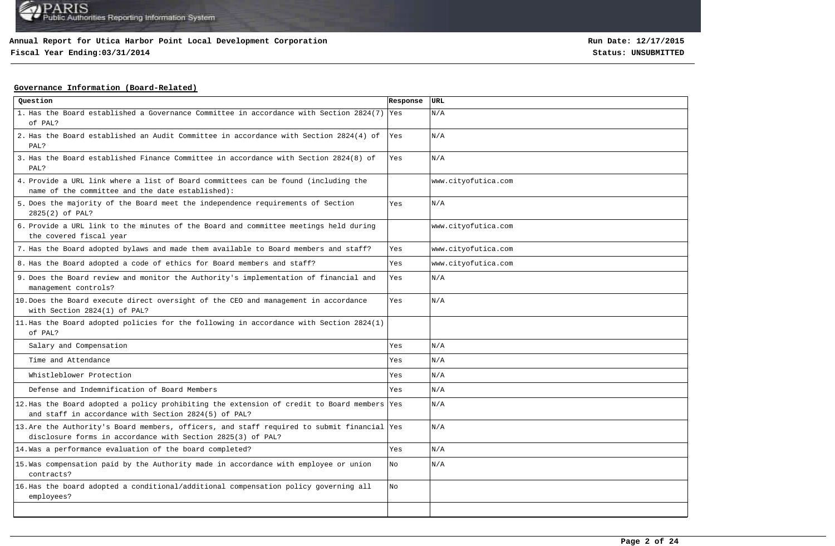# **Fiscal Year Ending:03/31/2014 Status: UNSUBMITTED**

**Run Date: 12/17/2015**

### **Governance Information (Board-Related)**

| Question                                                                                                                                                   | Response | URL                 |
|------------------------------------------------------------------------------------------------------------------------------------------------------------|----------|---------------------|
| 1. Has the Board established a Governance Committee in accordance with Section 2824(7) Yes<br>of PAL?                                                      |          | N/A                 |
| 2. Has the Board established an Audit Committee in accordance with Section 2824(4) of<br>PAL?                                                              | Yes      | N/A                 |
| 3. Has the Board established Finance Committee in accordance with Section 2824(8) of<br>PAL?                                                               | Yes      | N/A                 |
| 4. Provide a URL link where a list of Board committees can be found (including the<br>name of the committee and the date established):                     |          | www.cityofutica.com |
| 5. Does the majority of the Board meet the independence requirements of Section<br>2825(2) of PAL?                                                         | Yes      | N/A                 |
| 6. Provide a URL link to the minutes of the Board and committee meetings held during<br>the covered fiscal year                                            |          | www.cityofutica.com |
| 7. Has the Board adopted bylaws and made them available to Board members and staff?                                                                        | Yes      | www.cityofutica.com |
| 8. Has the Board adopted a code of ethics for Board members and staff?                                                                                     | Yes      | www.cityofutica.com |
| 9. Does the Board review and monitor the Authority's implementation of financial and<br>management controls?                                               | Yes      | N/A                 |
| 10. Does the Board execute direct oversight of the CEO and management in accordance<br>with Section 2824(1) of PAL?                                        | Yes      | N/A                 |
| 11. Has the Board adopted policies for the following in accordance with Section 2824(1)<br>of PAL?                                                         |          |                     |
| Salary and Compensation                                                                                                                                    | Yes      | N/A                 |
| Time and Attendance                                                                                                                                        | Yes      | N/A                 |
| Whistleblower Protection                                                                                                                                   | Yes      | N/A                 |
| Defense and Indemnification of Board Members                                                                                                               | Yes      | N/A                 |
| 12. Has the Board adopted a policy prohibiting the extension of credit to Board members Yes<br>and staff in accordance with Section 2824(5) of PAL?        |          | N/A                 |
| 13. Are the Authority's Board members, officers, and staff required to submit financial Yes<br>disclosure forms in accordance with Section 2825(3) of PAL? |          | N/A                 |
| 14. Was a performance evaluation of the board completed?                                                                                                   | Yes      | N/A                 |
| 15. Was compensation paid by the Authority made in accordance with employee or union<br>contracts?                                                         | No       | N/A                 |
| 16. Has the board adopted a conditional/additional compensation policy governing all<br>employees?                                                         | No       |                     |
|                                                                                                                                                            |          |                     |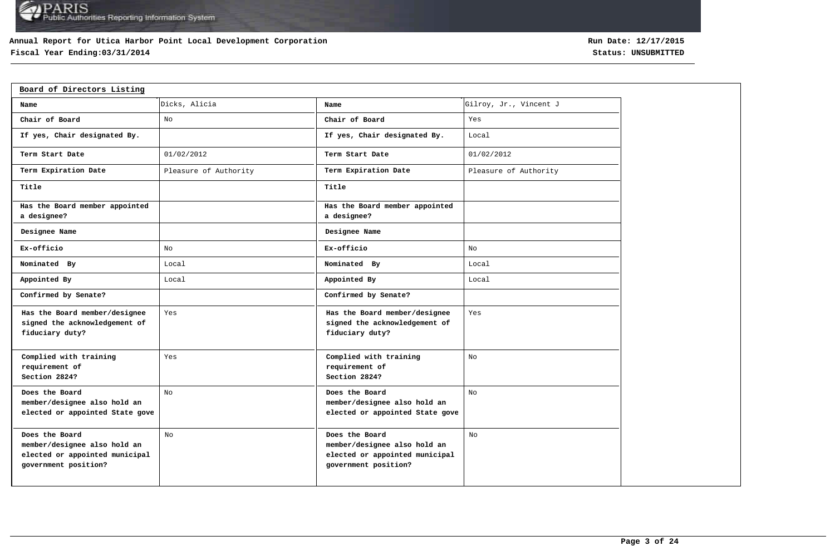## **Annual Report for Utica Harbor Point Local Development Corporation**

# **Fiscal Year Ending:03/31/2014 Status: UNSUBMITTED**

| Board of Directors Listing                                                                               |                       |                                                                                                          |                        |
|----------------------------------------------------------------------------------------------------------|-----------------------|----------------------------------------------------------------------------------------------------------|------------------------|
| Name                                                                                                     | Dicks, Alicia         | Name                                                                                                     | Gilroy, Jr., Vincent J |
| Chair of Board                                                                                           | No                    | Chair of Board                                                                                           | Yes                    |
| If yes, Chair designated By.                                                                             |                       | If yes, Chair designated By.                                                                             | Local                  |
| Term Start Date                                                                                          | 01/02/2012            | Term Start Date                                                                                          | 01/02/2012             |
| Term Expiration Date                                                                                     | Pleasure of Authority | Term Expiration Date                                                                                     | Pleasure of Authority  |
| Title                                                                                                    |                       | Title                                                                                                    |                        |
| Has the Board member appointed<br>a designee?                                                            |                       | Has the Board member appointed<br>a designee?                                                            |                        |
| Designee Name                                                                                            |                       | Designee Name                                                                                            |                        |
| Ex-officio                                                                                               | No                    | Ex-officio                                                                                               | No                     |
| Nominated By                                                                                             | Local                 | Nominated By                                                                                             | Local                  |
| Appointed By                                                                                             | Local                 | Appointed By                                                                                             | Local                  |
| Confirmed by Senate?                                                                                     |                       | Confirmed by Senate?                                                                                     |                        |
| Has the Board member/designee<br>signed the acknowledgement of<br>fiduciary duty?                        | Yes                   | Has the Board member/designee<br>signed the acknowledgement of<br>fiduciary duty?                        | Yes                    |
| Complied with training<br>requirement of<br>Section 2824?                                                | Yes                   | Complied with training<br>requirement of<br>Section 2824?                                                | No                     |
| Does the Board<br>member/designee also hold an<br>elected or appointed State gove                        | No                    | Does the Board<br>member/designee also hold an<br>elected or appointed State gove                        | No                     |
| Does the Board<br>member/designee also hold an<br>elected or appointed municipal<br>government position? | No                    | Does the Board<br>member/designee also hold an<br>elected or appointed municipal<br>government position? | No                     |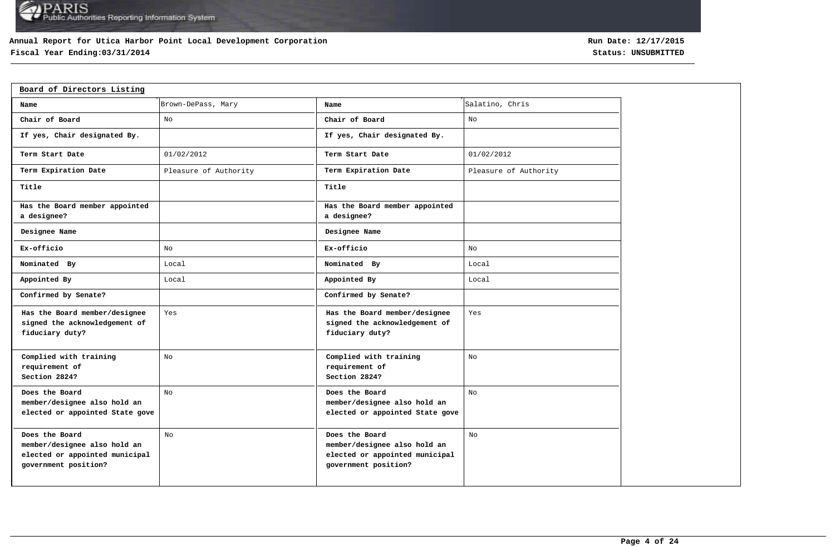### **Annual Report for Utica Harbor Point Local Development Corporation**

# **Fiscal Year Ending:03/31/2014 Status: UNSUBMITTED**

| Board of Directors Listing                                                                               |                       |                                                                                                          |                       |
|----------------------------------------------------------------------------------------------------------|-----------------------|----------------------------------------------------------------------------------------------------------|-----------------------|
| Name                                                                                                     | Brown-DePass, Mary    | Name                                                                                                     | Salatino, Chris       |
| Chair of Board                                                                                           | No                    | Chair of Board                                                                                           | No                    |
| If yes, Chair designated By.                                                                             |                       | If yes, Chair designated By.                                                                             |                       |
| Term Start Date                                                                                          | 01/02/2012            | Term Start Date                                                                                          | 01/02/2012            |
| Term Expiration Date                                                                                     | Pleasure of Authority | Term Expiration Date                                                                                     | Pleasure of Authority |
| Title                                                                                                    |                       | Title                                                                                                    |                       |
| Has the Board member appointed<br>a designee?                                                            |                       | Has the Board member appointed<br>a designee?                                                            |                       |
| Designee Name                                                                                            |                       | Designee Name                                                                                            |                       |
| Ex-officio                                                                                               | No                    | Ex-officio                                                                                               | No                    |
| Nominated By                                                                                             | Local                 | Nominated By                                                                                             | Local                 |
| Appointed By                                                                                             | Local                 | Appointed By                                                                                             | Local                 |
| Confirmed by Senate?                                                                                     |                       | Confirmed by Senate?                                                                                     |                       |
| Has the Board member/designee<br>signed the acknowledgement of<br>fiduciary duty?                        | Yes                   | Has the Board member/designee<br>signed the acknowledgement of<br>fiduciary duty?                        | Yes                   |
| Complied with training<br>requirement of<br>Section 2824?                                                | No                    | Complied with training<br>requirement of<br>Section 2824?                                                | No                    |
| Does the Board<br>member/designee also hold an<br>elected or appointed State gove                        | No                    | Does the Board<br>member/designee also hold an<br>elected or appointed State gove                        | No                    |
| Does the Board<br>member/designee also hold an<br>elected or appointed municipal<br>government position? | N <sub>O</sub>        | Does the Board<br>member/designee also hold an<br>elected or appointed municipal<br>government position? | No                    |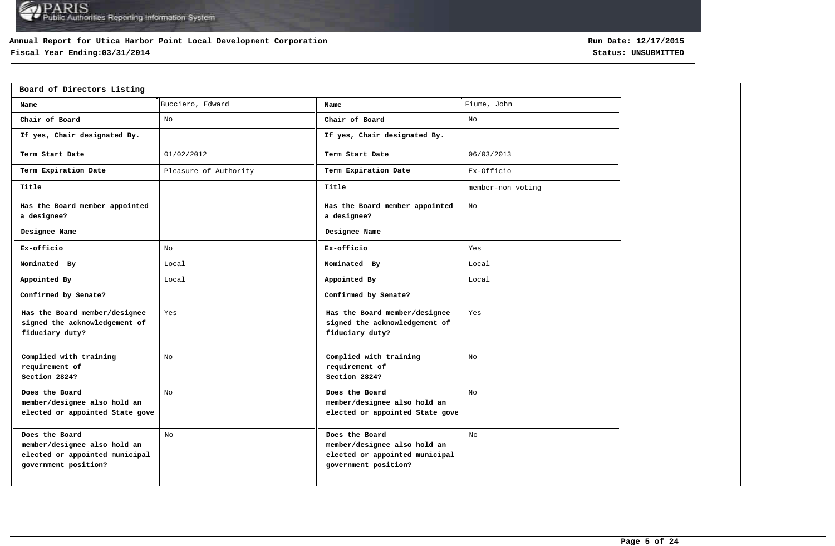### **Annual Report for Utica Harbor Point Local Development Corporation**

# **Fiscal Year Ending:03/31/2014 Status: UNSUBMITTED**

| Board of Directors Listing                                                                               |                       |                                                                                                          |                   |
|----------------------------------------------------------------------------------------------------------|-----------------------|----------------------------------------------------------------------------------------------------------|-------------------|
| Name                                                                                                     | Bucciero, Edward      | Name                                                                                                     | Fiume, John       |
| Chair of Board                                                                                           | No                    | Chair of Board                                                                                           | No                |
| If yes, Chair designated By.                                                                             |                       | If yes, Chair designated By.                                                                             |                   |
| Term Start Date                                                                                          | 01/02/2012            | Term Start Date                                                                                          | 06/03/2013        |
| Term Expiration Date                                                                                     | Pleasure of Authority | Term Expiration Date                                                                                     | Ex-Officio        |
| Title                                                                                                    |                       | Title                                                                                                    | member-non voting |
| Has the Board member appointed<br>a designee?                                                            |                       | Has the Board member appointed<br>a designee?                                                            | No                |
| Designee Name                                                                                            |                       | Designee Name                                                                                            |                   |
| Ex-officio                                                                                               | No                    | Ex-officio                                                                                               | Yes               |
| Nominated By                                                                                             | Local                 | Nominated By                                                                                             | Local             |
| Appointed By                                                                                             | Local                 | Appointed By                                                                                             | Local             |
| Confirmed by Senate?                                                                                     |                       | Confirmed by Senate?                                                                                     |                   |
| Has the Board member/designee<br>signed the acknowledgement of<br>fiduciary duty?                        | Yes                   | Has the Board member/designee<br>signed the acknowledgement of<br>fiduciary duty?                        | Yes               |
| Complied with training<br>requirement of<br>Section 2824?                                                | No                    | Complied with training<br>requirement of<br>Section 2824?                                                | No                |
| Does the Board<br>member/designee also hold an<br>elected or appointed State gove                        | No                    | Does the Board<br>member/designee also hold an<br>elected or appointed State gove                        | No                |
| Does the Board<br>member/designee also hold an<br>elected or appointed municipal<br>government position? | No                    | Does the Board<br>member/designee also hold an<br>elected or appointed municipal<br>government position? | No                |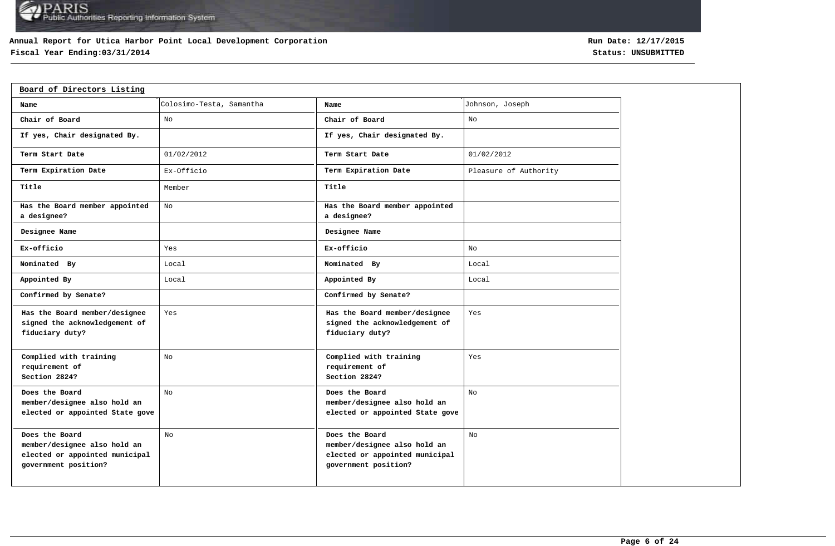### **Annual Report for Utica Harbor Point Local Development Corporation**

# **Fiscal Year Ending:03/31/2014 Status: UNSUBMITTED**

| Board of Directors Listing                                                                               |                          |                                                                                                          |                       |  |  |  |  |  |  |  |
|----------------------------------------------------------------------------------------------------------|--------------------------|----------------------------------------------------------------------------------------------------------|-----------------------|--|--|--|--|--|--|--|
| Name                                                                                                     | Colosimo-Testa, Samantha | Name                                                                                                     | Johnson, Joseph       |  |  |  |  |  |  |  |
| Chair of Board                                                                                           | No                       | Chair of Board                                                                                           | No                    |  |  |  |  |  |  |  |
| If yes, Chair designated By.                                                                             |                          | If yes, Chair designated By.                                                                             |                       |  |  |  |  |  |  |  |
| Term Start Date                                                                                          | 01/02/2012               | Term Start Date                                                                                          | 01/02/2012            |  |  |  |  |  |  |  |
| Term Expiration Date                                                                                     | Ex-Officio               | Term Expiration Date                                                                                     | Pleasure of Authority |  |  |  |  |  |  |  |
| Title                                                                                                    | Member                   | Title                                                                                                    |                       |  |  |  |  |  |  |  |
| Has the Board member appointed<br>a designee?                                                            | No                       | Has the Board member appointed<br>a designee?                                                            |                       |  |  |  |  |  |  |  |
| Designee Name                                                                                            |                          | Designee Name                                                                                            |                       |  |  |  |  |  |  |  |
| Ex-officio                                                                                               | Yes                      | Ex-officio                                                                                               | No                    |  |  |  |  |  |  |  |
| Nominated By                                                                                             | Local                    | Nominated By                                                                                             | Local                 |  |  |  |  |  |  |  |
| Appointed By                                                                                             | Local                    | Appointed By                                                                                             | Local                 |  |  |  |  |  |  |  |
| Confirmed by Senate?                                                                                     |                          | Confirmed by Senate?                                                                                     |                       |  |  |  |  |  |  |  |
| Has the Board member/designee<br>signed the acknowledgement of<br>fiduciary duty?                        | Yes                      | Has the Board member/designee<br>signed the acknowledgement of<br>fiduciary duty?                        | Yes                   |  |  |  |  |  |  |  |
| Complied with training<br>requirement of<br>Section 2824?                                                | No                       | Complied with training<br>requirement of<br>Section 2824?                                                | Yes                   |  |  |  |  |  |  |  |
| Does the Board<br>member/designee also hold an<br>elected or appointed State gove                        | No                       | Does the Board<br>member/designee also hold an<br>elected or appointed State gove                        | No                    |  |  |  |  |  |  |  |
| Does the Board<br>member/designee also hold an<br>elected or appointed municipal<br>government position? | No                       | Does the Board<br>member/designee also hold an<br>elected or appointed municipal<br>government position? | No                    |  |  |  |  |  |  |  |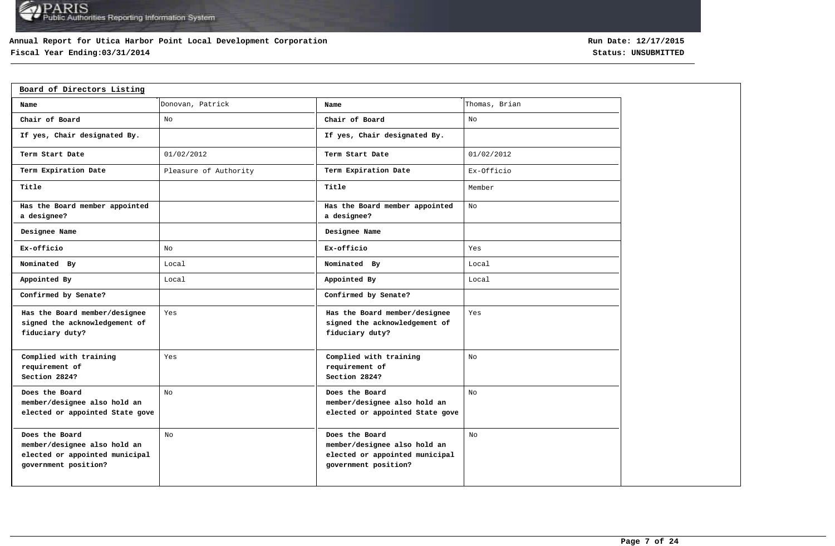### **Annual Report for Utica Harbor Point Local Development Corporation**

# **Fiscal Year Ending:03/31/2014 Status: UNSUBMITTED**

| Board of Directors Listing                                                                               |                       |                                                                                                          |               |  |  |  |  |  |  |
|----------------------------------------------------------------------------------------------------------|-----------------------|----------------------------------------------------------------------------------------------------------|---------------|--|--|--|--|--|--|
| Name                                                                                                     | Donovan, Patrick      | Name                                                                                                     | Thomas, Brian |  |  |  |  |  |  |
| Chair of Board                                                                                           | No                    | Chair of Board                                                                                           | No            |  |  |  |  |  |  |
| If yes, Chair designated By.                                                                             |                       | If yes, Chair designated By.                                                                             |               |  |  |  |  |  |  |
| Term Start Date                                                                                          | 01/02/2012            | Term Start Date                                                                                          | 01/02/2012    |  |  |  |  |  |  |
| Term Expiration Date                                                                                     | Pleasure of Authority | Term Expiration Date                                                                                     | Ex-Officio    |  |  |  |  |  |  |
| Title                                                                                                    |                       | Title                                                                                                    | Member        |  |  |  |  |  |  |
| Has the Board member appointed<br>a designee?                                                            |                       | Has the Board member appointed<br>a designee?                                                            | No            |  |  |  |  |  |  |
| Designee Name                                                                                            |                       | Designee Name                                                                                            |               |  |  |  |  |  |  |
| Ex-officio                                                                                               | No                    | Ex-officio                                                                                               | Yes           |  |  |  |  |  |  |
| Nominated By                                                                                             | Local                 | Nominated By                                                                                             | Local         |  |  |  |  |  |  |
| Appointed By                                                                                             | Local                 | Appointed By                                                                                             | Local         |  |  |  |  |  |  |
| Confirmed by Senate?                                                                                     |                       | Confirmed by Senate?                                                                                     |               |  |  |  |  |  |  |
| Has the Board member/designee<br>signed the acknowledgement of<br>fiduciary duty?                        | Yes                   | Has the Board member/designee<br>signed the acknowledgement of<br>fiduciary duty?                        | Yes           |  |  |  |  |  |  |
| Complied with training<br>requirement of<br>Section 2824?                                                | Yes                   | Complied with training<br>requirement of<br>Section 2824?                                                | No            |  |  |  |  |  |  |
| Does the Board<br>member/designee also hold an<br>elected or appointed State gove                        | No                    | Does the Board<br>member/designee also hold an<br>elected or appointed State gove                        | No            |  |  |  |  |  |  |
| Does the Board<br>member/designee also hold an<br>elected or appointed municipal<br>government position? | No.                   | Does the Board<br>member/designee also hold an<br>elected or appointed municipal<br>government position? | No            |  |  |  |  |  |  |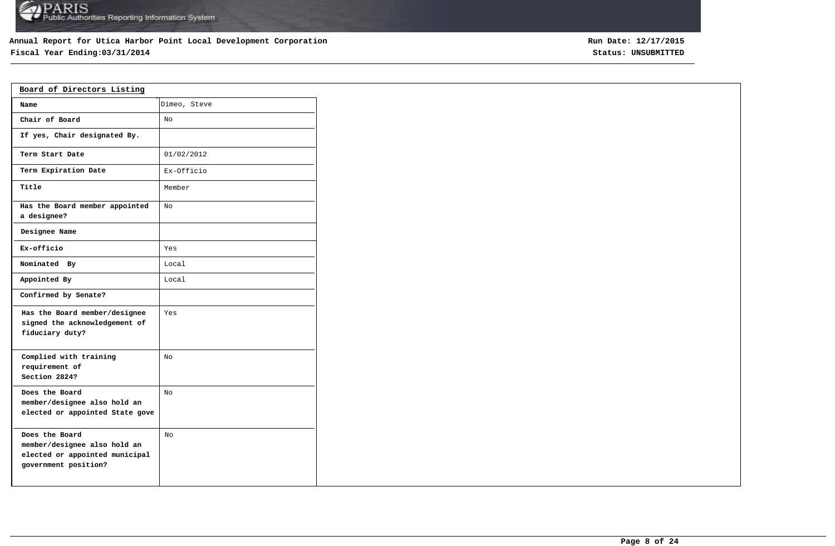# **Annual Report for Utica Harbor Point Local Development Corporation**

# **Fiscal Year Ending:03/31/2014 Status: UNSUBMITTED**

| Board of Directors Listing                                                                               |              |  |  |  |  |  |  |  |
|----------------------------------------------------------------------------------------------------------|--------------|--|--|--|--|--|--|--|
| Name                                                                                                     | Dimeo, Steve |  |  |  |  |  |  |  |
| Chair of Board                                                                                           | No           |  |  |  |  |  |  |  |
| If yes, Chair designated By.                                                                             |              |  |  |  |  |  |  |  |
| Term Start Date                                                                                          | 01/02/2012   |  |  |  |  |  |  |  |
| Term Expiration Date                                                                                     | Ex-Officio   |  |  |  |  |  |  |  |
| Title                                                                                                    | Member       |  |  |  |  |  |  |  |
| Has the Board member appointed<br>a designee?                                                            | No           |  |  |  |  |  |  |  |
| Designee Name                                                                                            |              |  |  |  |  |  |  |  |
| Ex-officio                                                                                               | Yes          |  |  |  |  |  |  |  |
| Nominated By                                                                                             | Local        |  |  |  |  |  |  |  |
| Appointed By                                                                                             | Local        |  |  |  |  |  |  |  |
| Confirmed by Senate?                                                                                     |              |  |  |  |  |  |  |  |
| Has the Board member/designee<br>signed the acknowledgement of<br>fiduciary duty?                        | Yes          |  |  |  |  |  |  |  |
| Complied with training<br>requirement of<br>Section 2824?                                                | No           |  |  |  |  |  |  |  |
| Does the Board<br>member/designee also hold an<br>elected or appointed State gove                        | No.          |  |  |  |  |  |  |  |
| Does the Board<br>member/designee also hold an<br>elected or appointed municipal<br>government position? | NΩ           |  |  |  |  |  |  |  |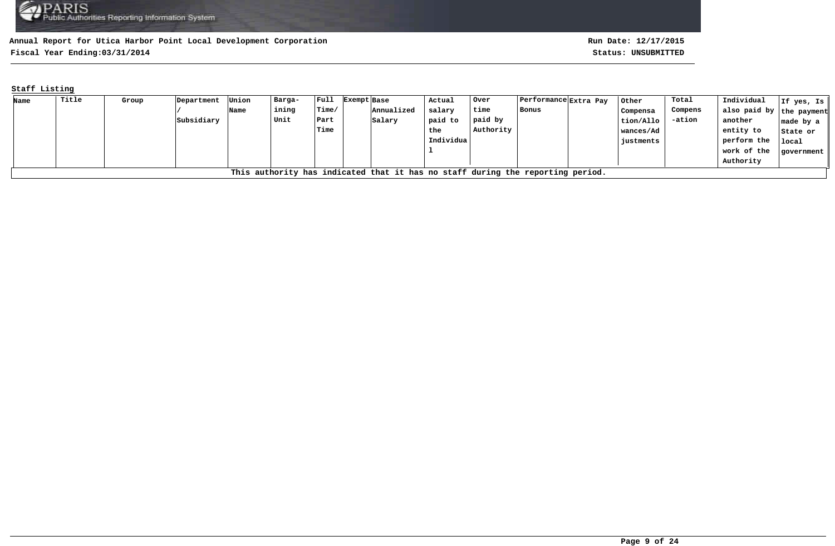**Fiscal Year Ending:03/31/2014 Status: UNSUBMITTED**

## **Staff Listing**

| Name | Title                                                                          | Group | Department | Union | Barga- | $ $ Full        | Exempt Base |            | Actual    | Over      | Performance  Extra Pay |  | Other     | Total    | Individual               | If yes, Is $\parallel$ |
|------|--------------------------------------------------------------------------------|-------|------------|-------|--------|-----------------|-------------|------------|-----------|-----------|------------------------|--|-----------|----------|--------------------------|------------------------|
|      |                                                                                |       |            | Name  | ining  | $l$ Time $\ell$ |             | Annualized | salary    | time      | Bonus                  |  | Compensa  | Compens  | also paid by the payment |                        |
|      |                                                                                |       | Subsidiary |       | Unit   | Part            |             | Salary     | paid to   | paid by   |                        |  | tion/Allo | $-ation$ | another                  | made by a $\parallel$  |
|      |                                                                                |       |            |       |        | Time            |             |            | the       | Authority |                        |  | wances/Ad |          | entity to                | State or               |
|      |                                                                                |       |            |       |        |                 |             |            | Individua |           |                        |  | justments |          | perform the              | local                  |
|      |                                                                                |       |            |       |        |                 |             |            |           |           |                        |  |           |          | work of the              | government             |
|      |                                                                                |       |            |       |        |                 |             |            |           |           |                        |  |           |          | Authority                |                        |
|      | This authority has indicated that it has no staff during the reporting period. |       |            |       |        |                 |             |            |           |           |                        |  |           |          |                          |                        |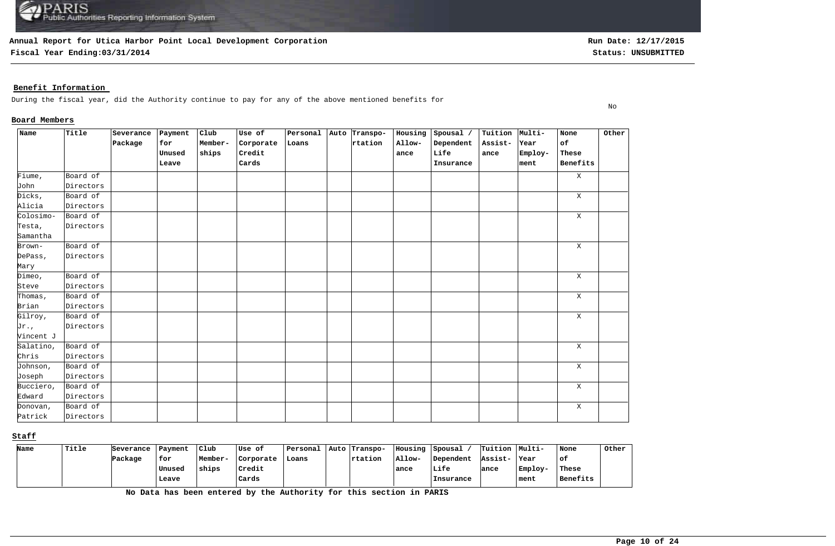**Fiscal Year Ending:03/31/2014 Status: UNSUBMITTED**

**Run Date: 12/17/2015**

No

### **Benefit Information**

During the fiscal year, did the Authority continue to pay for any of the above mentioned benefits for

#### **Board Members**

| Name      | Title     | Severance | Payment | $_{\text{Club}}$ | Use of    | Personal | Auto Transpo- | Housing | Spousal / | Tuition Multi- |         | None         | Other |
|-----------|-----------|-----------|---------|------------------|-----------|----------|---------------|---------|-----------|----------------|---------|--------------|-------|
|           |           | Package   | for     | Member-          | Corporate | Loans    | rtation       | Allow-  | Dependent | Assist-        | Year    | of           |       |
|           |           |           | Unused  | ships            | Credit    |          |               | ance    | Life      | ance           | Employ- | These        |       |
|           |           |           | Leave   |                  | Cards     |          |               |         | Insurance |                | ment    | Benefits     |       |
| Fiume,    | Board of  |           |         |                  |           |          |               |         |           |                |         | $\mathbf{X}$ |       |
| John      | Directors |           |         |                  |           |          |               |         |           |                |         |              |       |
| Dicks,    | Board of  |           |         |                  |           |          |               |         |           |                |         | $\mathbf{X}$ |       |
| Alicia    | Directors |           |         |                  |           |          |               |         |           |                |         |              |       |
| Colosimo- | Board of  |           |         |                  |           |          |               |         |           |                |         | $\mathbf{X}$ |       |
| Testa,    | Directors |           |         |                  |           |          |               |         |           |                |         |              |       |
| Samantha  |           |           |         |                  |           |          |               |         |           |                |         |              |       |
| Brown-    | Board of  |           |         |                  |           |          |               |         |           |                |         | X            |       |
| DePass,   | Directors |           |         |                  |           |          |               |         |           |                |         |              |       |
| Mary      |           |           |         |                  |           |          |               |         |           |                |         |              |       |
| Dimeo,    | Board of  |           |         |                  |           |          |               |         |           |                |         | $\mathbf{X}$ |       |
| Steve     | Directors |           |         |                  |           |          |               |         |           |                |         |              |       |
| Thomas,   | Board of  |           |         |                  |           |          |               |         |           |                |         | $\mathbf{X}$ |       |
| Brian     | Directors |           |         |                  |           |          |               |         |           |                |         |              |       |
| Gilroy,   | Board of  |           |         |                  |           |          |               |         |           |                |         | $\mathbf{X}$ |       |
| Jr.,      | Directors |           |         |                  |           |          |               |         |           |                |         |              |       |
| Vincent J |           |           |         |                  |           |          |               |         |           |                |         |              |       |
| Salatino, | Board of  |           |         |                  |           |          |               |         |           |                |         | X            |       |
| Chris     | Directors |           |         |                  |           |          |               |         |           |                |         |              |       |
| Johnson,  | Board of  |           |         |                  |           |          |               |         |           |                |         | X            |       |
| Joseph    | Directors |           |         |                  |           |          |               |         |           |                |         |              |       |
| Bucciero, | Board of  |           |         |                  |           |          |               |         |           |                |         | X            |       |
| Edward    | Directors |           |         |                  |           |          |               |         |           |                |         |              |       |
| Donovan,  | Board of  |           |         |                  |           |          |               |         |           |                |         | X            |       |
| Patrick   | Directors |           |         |                  |           |          |               |         |           |                |         |              |       |

#### **Staff**

| Name | Title | Severance | Payment | Club    | Use of    | ' Personal | Auto   Transpo- | IIousing | <i>Spousal</i> | Tuition Multi- |         | None     | Other |
|------|-------|-----------|---------|---------|-----------|------------|-----------------|----------|----------------|----------------|---------|----------|-------|
|      |       | Package   | for     | Member- | Corporate | Loans      | $r$ tation      | Allow-   | Dependent      | Assist-        | Year    | ' of:    |       |
|      |       |           | Unused  | ships   | Credit    |            |                 | ance     | Life           | ance           | Employ- | These    |       |
|      |       |           | Leave   |         | Cards     |            |                 |          | Insurance      |                | ment    | Benefits |       |

**No Data has been entered by the Authority for this section in PARIS**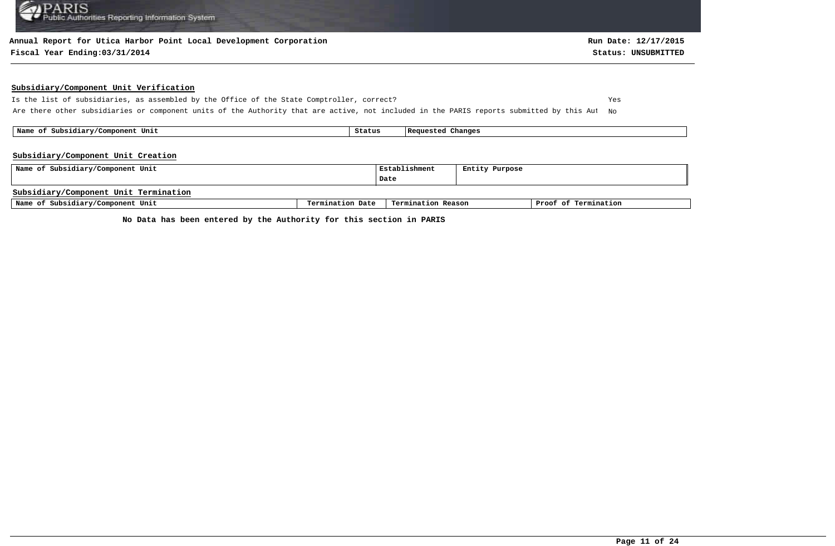#### **Annual Report for Utica Harbor Point Local Development Corporation**

#### **Fiscal Year Ending:03/31/2014 Status: UNSUBMITTED**

#### **Subsidiary/Component Unit Verification**

Is the list of subsidiaries, as assembled by the Office of the State Comptroller, correct? Yes Are there other subsidiaries or component units of the Authority that are active, not included in the PARIS reports submitted by this Aut No

 **Name of Subsidiary/Component Unit Status Requested Changes** 

#### **Subsidiary/Component Unit Creation**

| Name of Subsidiary/Component Unit     | Establishment    | Entity Purpose     |  |                      |
|---------------------------------------|------------------|--------------------|--|----------------------|
|                                       |                  | Date               |  |                      |
| Subsidiary/Component Unit Termination |                  |                    |  |                      |
| Name of Subsidiary/Component Unit     | Termination Date | Termination Reason |  | Proof of Termination |

**No Data has been entered by the Authority for this section in PARIS**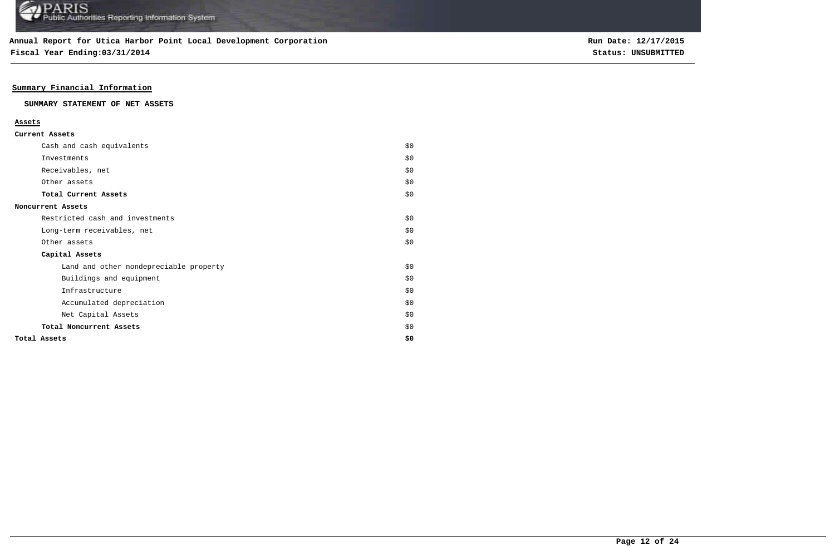**Fiscal Year Ending:03/31/2014 Status: UNSUBMITTED**

### **Summary Financial Information**

#### **SUMMARY STATEMENT OF NET ASSETS**

#### **Assets**

| Cash and cash equivalents              | \$0   |
|----------------------------------------|-------|
| Investments                            | \$0   |
| Receivables, net                       | \$0   |
| Other assets                           | \$0   |
| Total Current Assets                   | \$0   |
| Noncurrent Assets                      |       |
| Restricted cash and investments        | \$0\$ |
| Long-term receivables, net             | \$0   |
| Other assets                           | \$0   |
| Capital Assets                         |       |
| Land and other nondepreciable property | \$0\$ |
| Buildings and equipment                | \$0   |
| Infrastructure                         | \$0   |
| Accumulated depreciation               | \$0   |
| Net Capital Assets                     | \$0   |
| Total Noncurrent Assets                | \$0   |
| Total Assets                           | \$0   |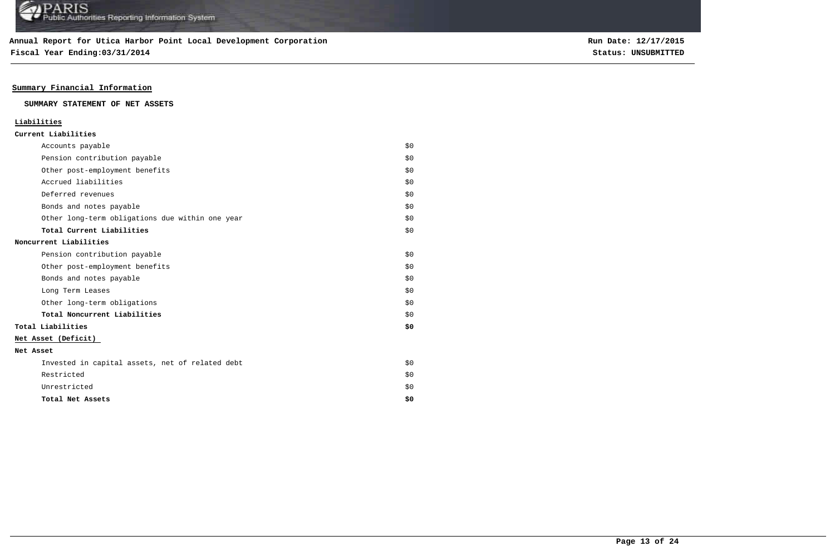**Fiscal Year Ending:03/31/2014 Status: UNSUBMITTED**

**Run Date: 12/17/2015**

### **Summary Financial Information**

#### **SUMMARY STATEMENT OF NET ASSETS**

### **Liabilities**

| Current Liabilities |
|---------------------|
|---------------------|

| Accounts payable                                | \$0 |
|-------------------------------------------------|-----|
| Pension contribution payable                    | \$0 |
| Other post-employment benefits                  | \$0 |
| Accrued liabilities                             | \$0 |
| Deferred revenues                               | \$0 |
| Bonds and notes payable                         | \$0 |
| Other long-term obligations due within one year | \$0 |
| Total Current Liabilities                       | \$0 |
| Noncurrent Liabilities                          |     |
| Pension contribution payable                    | \$0 |
| Other post-employment benefits                  | \$0 |
| Bonds and notes payable                         | \$0 |
| Long Term Leases                                | \$0 |
| Other long-term obligations                     | \$0 |
| Total Noncurrent Liabilities                    | \$0 |
| Total Liabilities                               | \$0 |
| Net Asset (Deficit)                             |     |
| Net Asset                                       |     |
| Invested in capital assets, net of related debt | \$0 |
| Restricted                                      | \$0 |
| Unrestricted                                    | \$0 |
| Total Net Assets                                | \$0 |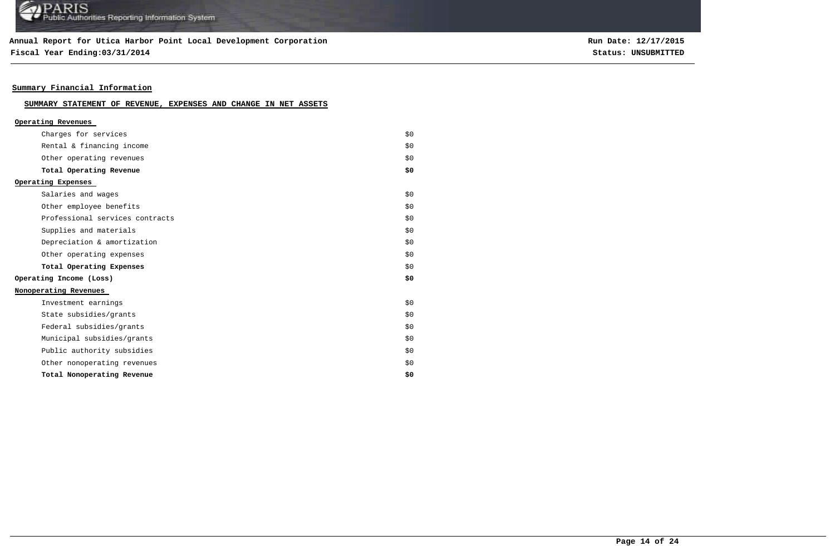### **Annual Report for Utica Harbor Point Local Development Corporation**

**Fiscal Year Ending:03/31/2014 Status: UNSUBMITTED**

**Run Date: 12/17/2015**

### **Summary Financial Information**

### **SUMMARY STATEMENT OF REVENUE, EXPENSES AND CHANGE IN NET ASSETS**

| Operating Revenues              |     |
|---------------------------------|-----|
| Charges for services            | \$O |
| Rental & financing income       | \$O |
| Other operating revenues        | \$O |
| Total Operating Revenue         | \$0 |
| Operating Expenses              |     |
| Salaries and wages              | \$O |
| Other employee benefits         | \$O |
| Professional services contracts | \$0 |
| Supplies and materials          | \$0 |
| Depreciation & amortization     | \$O |
| Other operating expenses        | \$O |
| Total Operating Expenses        | \$O |
| Operating Income (Loss)         | \$0 |
| Nonoperating Revenues           |     |
| Investment earnings             | \$O |
| State subsidies/grants          | \$0 |
| Federal subsidies/grants        | \$0 |
| Municipal subsidies/grants      | \$O |
| Public authority subsidies      | \$O |
| Other nonoperating revenues     | \$0 |
| Total Nonoperating Revenue      | \$0 |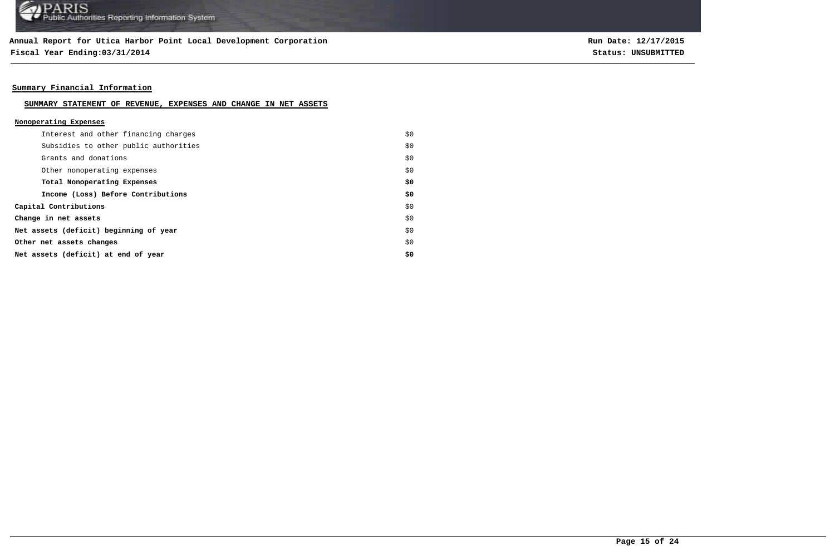**Fiscal Year Ending:03/31/2014 Status: UNSUBMITTED**

**Run Date: 12/17/2015**

### **Summary Financial Information**

#### **SUMMARY STATEMENT OF REVENUE, EXPENSES AND CHANGE IN NET ASSETS**

### **Nonoperating Expenses**

| Interest and other financing charges   | \$0 |
|----------------------------------------|-----|
| Subsidies to other public authorities  | \$0 |
| Grants and donations                   | \$0 |
| Other nonoperating expenses            | \$0 |
| Total Nonoperating Expenses            | \$0 |
| Income (Loss) Before Contributions     | \$0 |
| Capital Contributions                  | \$0 |
| Change in net assets                   | \$0 |
| Net assets (deficit) beginning of year | \$0 |
| Other net assets changes               | \$0 |
| Net assets (deficit) at end of year    | \$0 |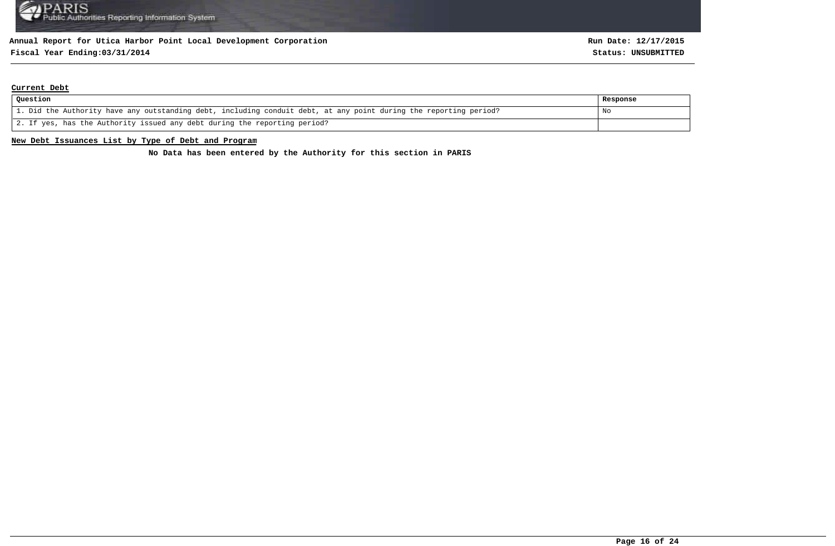# **Fiscal Year Ending:03/31/2014 Status: UNSUBMITTED**

#### **Current Debt**

| Question                                                                                                          | Response |
|-------------------------------------------------------------------------------------------------------------------|----------|
| 1. Did the Authority have any outstanding debt, including conduit debt, at any point during the reporting period? | No       |
| 2. If yes, has the Authority issued any debt during the reporting period?                                         |          |

#### **New Debt Issuances List by Type of Debt and Program**

**No Data has been entered by the Authority for this section in PARIS**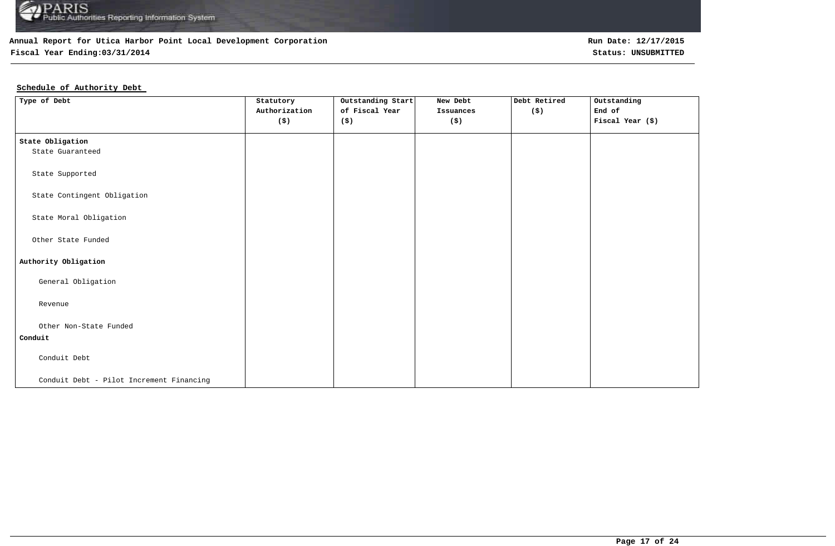

# **Fiscal Year Ending:03/31/2014 Status: UNSUBMITTED**

# **Schedule of Authority Debt**

| Type of Debt                             | Statutory<br>Authorization<br>$(\boldsymbol{\mathsf{S}})$ | Outstanding Start<br>of Fiscal Year<br>(\$) | New Debt<br>Issuances<br>$(\boldsymbol{\mathsf{S}})$ | Debt Retired<br>(\$) | Outstanding<br>End of<br>Fiscal Year (\$) |
|------------------------------------------|-----------------------------------------------------------|---------------------------------------------|------------------------------------------------------|----------------------|-------------------------------------------|
| State Obligation                         |                                                           |                                             |                                                      |                      |                                           |
| State Guaranteed                         |                                                           |                                             |                                                      |                      |                                           |
| State Supported                          |                                                           |                                             |                                                      |                      |                                           |
| State Contingent Obligation              |                                                           |                                             |                                                      |                      |                                           |
| State Moral Obligation                   |                                                           |                                             |                                                      |                      |                                           |
| Other State Funded                       |                                                           |                                             |                                                      |                      |                                           |
| Authority Obligation                     |                                                           |                                             |                                                      |                      |                                           |
| General Obligation                       |                                                           |                                             |                                                      |                      |                                           |
| Revenue                                  |                                                           |                                             |                                                      |                      |                                           |
| Other Non-State Funded                   |                                                           |                                             |                                                      |                      |                                           |
| Conduit                                  |                                                           |                                             |                                                      |                      |                                           |
| Conduit Debt                             |                                                           |                                             |                                                      |                      |                                           |
| Conduit Debt - Pilot Increment Financing |                                                           |                                             |                                                      |                      |                                           |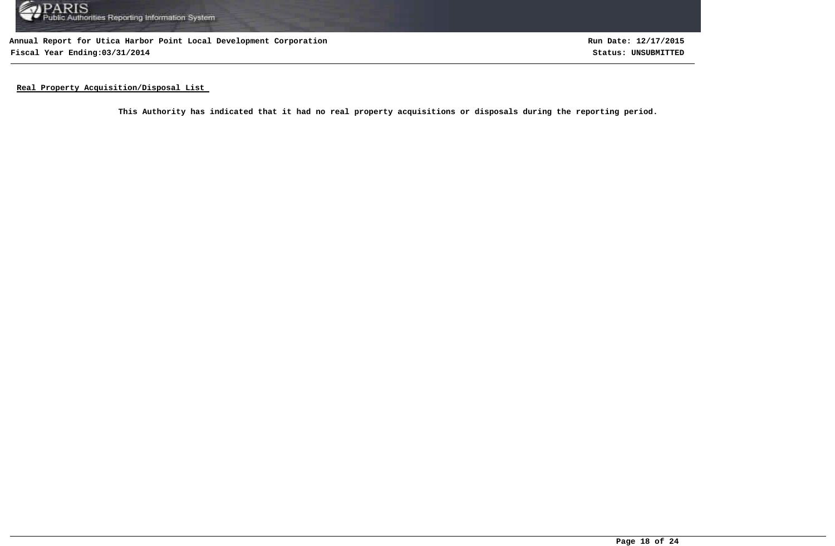

**Annual Report for Utica Harbor Point Local Development Corporation Fiscal Year Ending:03/31/2014 Status: UNSUBMITTED**

**Run Date: 12/17/2015**

**Real Property Acquisition/Disposal List** 

**This Authority has indicated that it had no real property acquisitions or disposals during the reporting period.**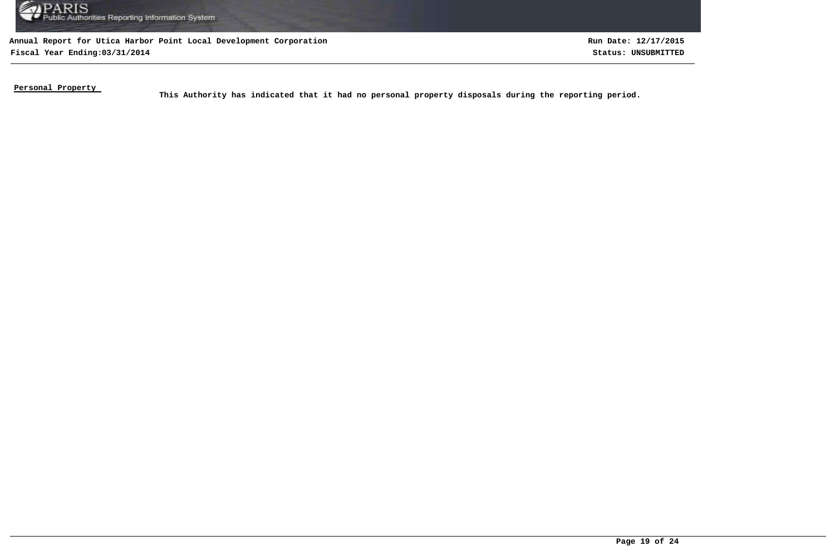

**Annual Report for Utica Harbor Point Local Development Corporation Fiscal Year Ending:03/31/2014 Status: UNSUBMITTED**

**Run Date: 12/17/2015**

**Personal Property** 

This Authority has indicated that it had no personal property disposals during the reporting period.<br>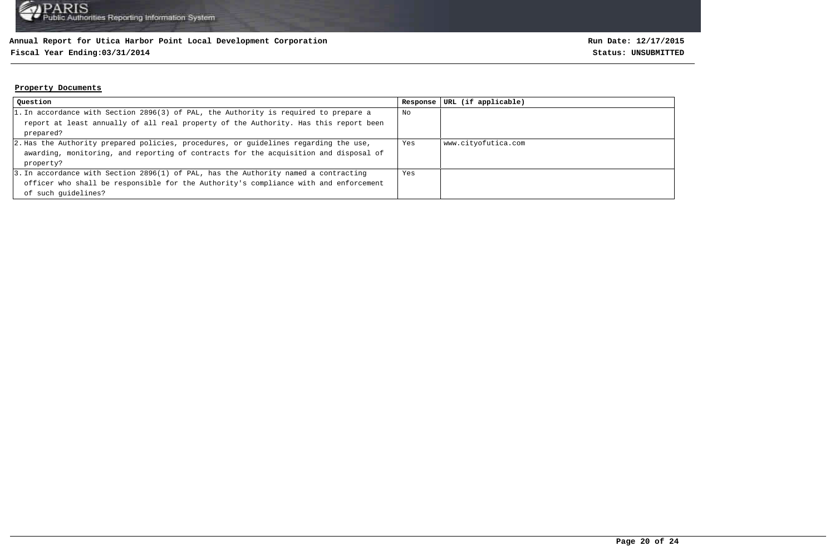### **Fiscal Year Ending:03/31/2014 Status: UNSUBMITTED**

#### **Property Documents**

| Question                                                                             | Response | URL (if applicable) |
|--------------------------------------------------------------------------------------|----------|---------------------|
| 1. In accordance with Section 2896(3) of PAL, the Authority is required to prepare a | No       |                     |
| report at least annually of all real property of the Authority. Has this report been |          |                     |
| prepared?                                                                            |          |                     |
| 2. Has the Authority prepared policies, procedures, or quidelines regarding the use, | Yes      | www.cityofutica.com |
| awarding, monitoring, and reporting of contracts for the acquisition and disposal of |          |                     |
| property?                                                                            |          |                     |
| 3. In accordance with Section 2896(1) of PAL, has the Authority named a contracting  | Yes      |                     |
| officer who shall be responsible for the Authority's compliance with and enforcement |          |                     |
| of such quidelines?                                                                  |          |                     |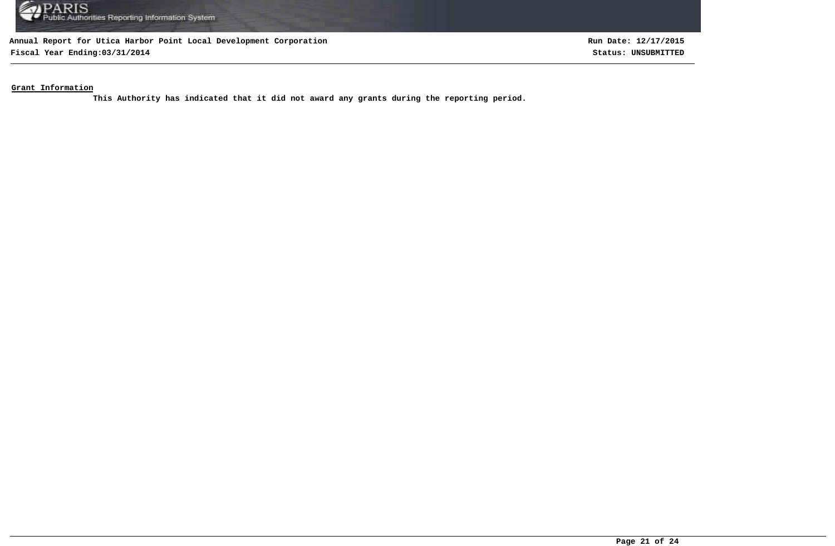

**Fiscal Year Ending:03/31/2014 Status: UNSUBMITTED**

**Run Date: 12/17/2015**

**Grant Information**

**This Authority has indicated that it did not award any grants during the reporting period.**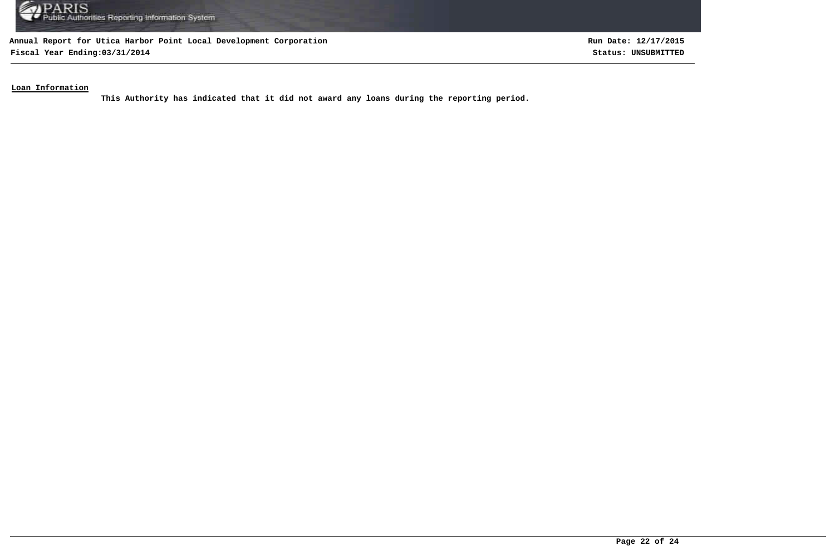

**Fiscal Year Ending:03/31/2014 Status: UNSUBMITTED**

**Run Date: 12/17/2015**

### **Loan Information**

**This Authority has indicated that it did not award any loans during the reporting period.**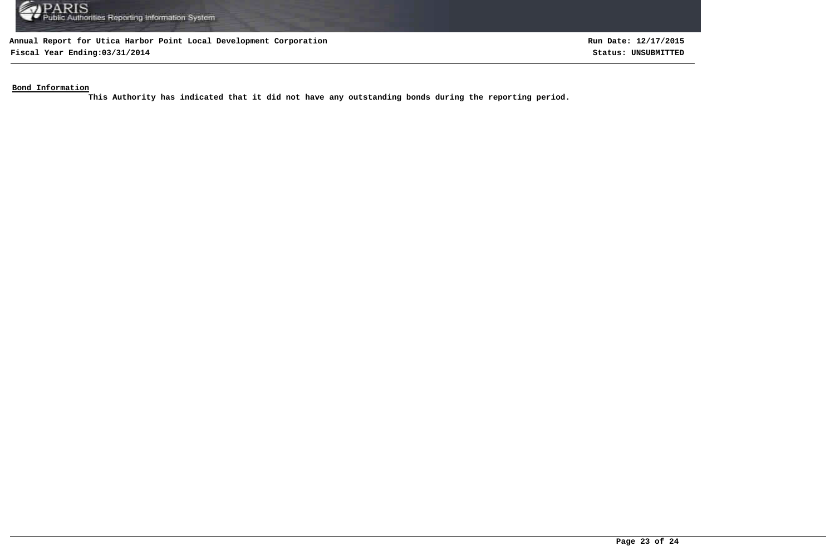

**Fiscal Year Ending:03/31/2014 Status: UNSUBMITTED**

**Run Date: 12/17/2015**

**Bond Information**

**This Authority has indicated that it did not have any outstanding bonds during the reporting period.**